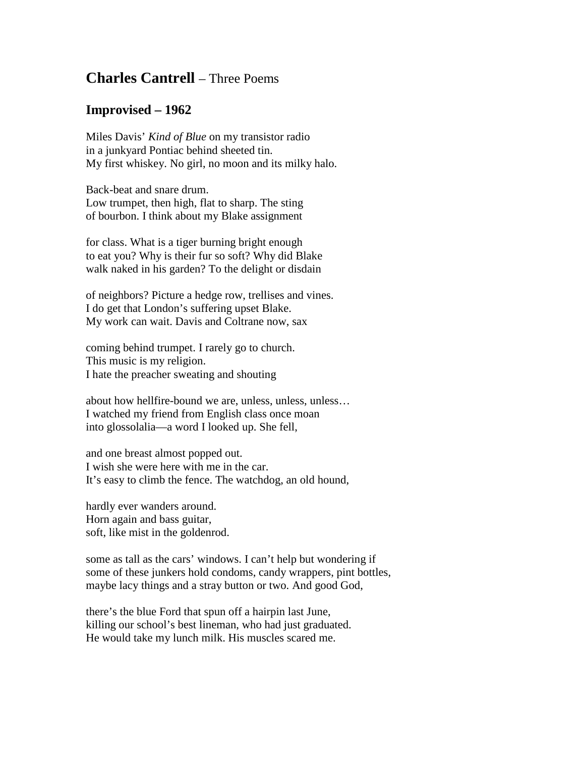## **Charles Cantrell** – Three Poems

## **Improvised – 1962**

Miles Davis' *Kind of Blue* on my transistor radio in a junkyard Pontiac behind sheeted tin. My first whiskey. No girl, no moon and its milky halo.

Back-beat and snare drum. Low trumpet, then high, flat to sharp. The sting of bourbon. I think about my Blake assignment

for class. What is a tiger burning bright enough to eat you? Why is their fur so soft? Why did Blake walk naked in his garden? To the delight or disdain

of neighbors? Picture a hedge row, trellises and vines. I do get that London's suffering upset Blake. My work can wait. Davis and Coltrane now, sax

coming behind trumpet. I rarely go to church. This music is my religion. I hate the preacher sweating and shouting

about how hellfire-bound we are, unless, unless, unless… I watched my friend from English class once moan into glossolalia—a word I looked up. She fell,

and one breast almost popped out. I wish she were here with me in the car. It's easy to climb the fence. The watchdog, an old hound,

hardly ever wanders around. Horn again and bass guitar, soft, like mist in the goldenrod.

some as tall as the cars' windows. I can't help but wondering if some of these junkers hold condoms, candy wrappers, pint bottles, maybe lacy things and a stray button or two. And good God,

there's the blue Ford that spun off a hairpin last June, killing our school's best lineman, who had just graduated. He would take my lunch milk. His muscles scared me.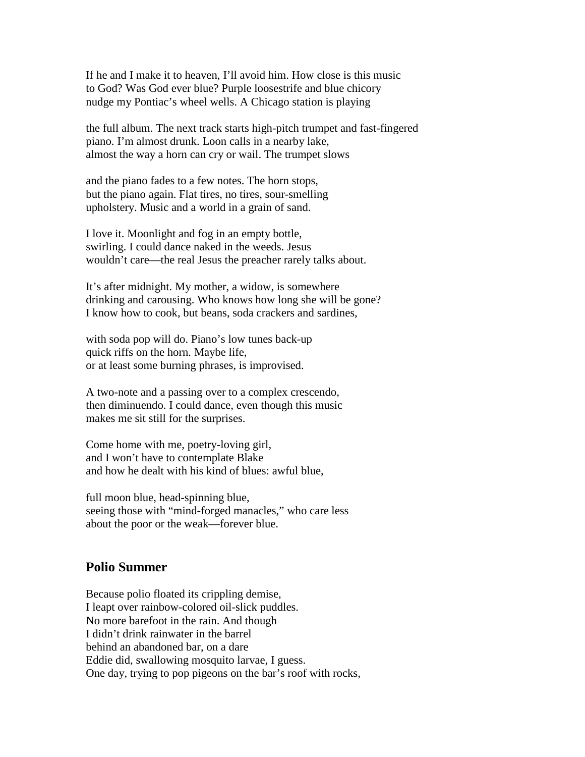If he and I make it to heaven, I'll avoid him. How close is this music to God? Was God ever blue? Purple loosestrife and blue chicory nudge my Pontiac's wheel wells. A Chicago station is playing

the full album. The next track starts high-pitch trumpet and fast-fingered piano. I'm almost drunk. Loon calls in a nearby lake, almost the way a horn can cry or wail. The trumpet slows

and the piano fades to a few notes. The horn stops, but the piano again. Flat tires, no tires, sour-smelling upholstery. Music and a world in a grain of sand.

I love it. Moonlight and fog in an empty bottle, swirling. I could dance naked in the weeds. Jesus wouldn't care—the real Jesus the preacher rarely talks about.

It's after midnight. My mother, a widow, is somewhere drinking and carousing. Who knows how long she will be gone? I know how to cook, but beans, soda crackers and sardines,

with soda pop will do. Piano's low tunes back-up quick riffs on the horn. Maybe life, or at least some burning phrases, is improvised.

A two-note and a passing over to a complex crescendo, then diminuendo. I could dance, even though this music makes me sit still for the surprises.

Come home with me, poetry-loving girl, and I won't have to contemplate Blake and how he dealt with his kind of blues: awful blue,

full moon blue, head-spinning blue, seeing those with "mind-forged manacles," who care less about the poor or the weak—forever blue.

## **Polio Summer**

Because polio floated its crippling demise, I leapt over rainbow-colored oil-slick puddles. No more barefoot in the rain. And though I didn't drink rainwater in the barrel behind an abandoned bar, on a dare Eddie did, swallowing mosquito larvae, I guess. One day, trying to pop pigeons on the bar's roof with rocks,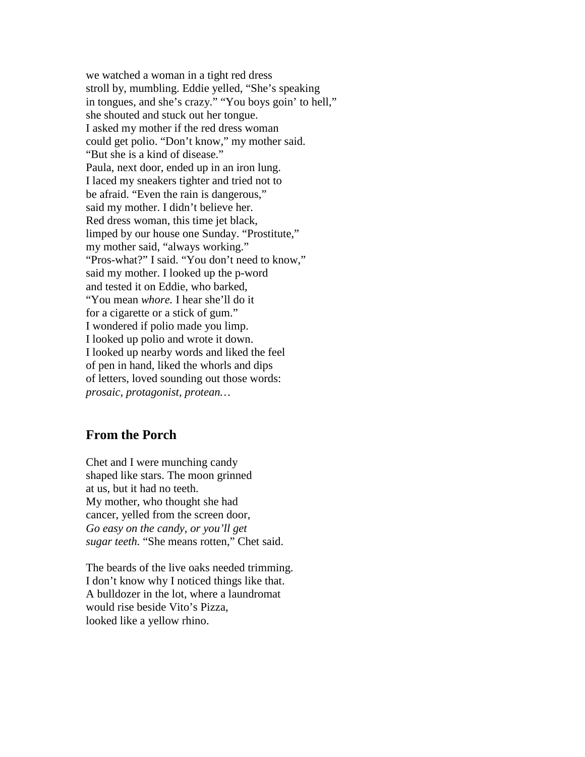we watched a woman in a tight red dress stroll by, mumbling. Eddie yelled, "She's speaking in tongues, and she's crazy." "You boys goin' to hell," she shouted and stuck out her tongue. I asked my mother if the red dress woman could get polio. "Don't know," my mother said. "But she is a kind of disease." Paula, next door, ended up in an iron lung. I laced my sneakers tighter and tried not to be afraid. "Even the rain is dangerous," said my mother. I didn't believe her. Red dress woman, this time jet black, limped by our house one Sunday. "Prostitute," my mother said, "always working." "Pros-what?" I said. "You don't need to know," said my mother. I looked up the p-word and tested it on Eddie, who barked, "You mean *whore.* I hear she'll do it for a cigarette or a stick of gum." I wondered if polio made you limp. I looked up polio and wrote it down. I looked up nearby words and liked the feel of pen in hand, liked the whorls and dips of letters, loved sounding out those words: *prosaic, protagonist, protean…*

## **From the Porch**

Chet and I were munching candy shaped like stars. The moon grinned at us, but it had no teeth. My mother, who thought she had cancer, yelled from the screen door, *Go easy on the candy, or you'll get sugar teeth.* "She means rotten," Chet said.

The beards of the live oaks needed trimming. I don't know why I noticed things like that. A bulldozer in the lot, where a laundromat would rise beside Vito's Pizza, looked like a yellow rhino.